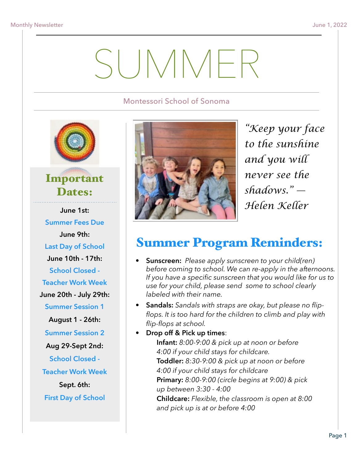#### Montessori School of Sonoma



#### Important Dates:

**June 1st: Summer Fees Due June 9th: Last Day of School June 10th - 17th: School Closed - Teacher Work Week June 20th - July 29th: Summer Session 1 August 1 - 26th: Summer Session 2 Aug 29-Sept 2nd: School Closed - Teacher Work Week Sept. 6th: First Day of School**



*"Keep your face to the sunshine and you will never see the shadows." — Helen Keller* 

## Summer Program Reminders:

- **• Sunscreen:** *Please apply sunscreen to your child(ren) before coming to school. We can re-apply in the afternoons. If you have a specific sunscreen that you would like for us to use for your child, please send some to school clearly labeled with their name.*
- **Sandals:** *Sandals with straps are okay, but please no flipflops. It is too hard for the children to climb and play with flip-flops at school.*
- **• Drop off & Pick up times**:  **Infant:** *8:00-9:00 & pick up at noon or before 4:00 if your child stays for childcare.*   **Toddler:** *8:30-9:00 & pick up at noon or before 4:00 if your child stays for childcare*   **Primary:** *8:00-9:00 (circle begins at 9:00) & pick up between 3:30 - 4:00*   **Childcare:** *Flexible, the classroom is open at 8:00 and pick up is at or before 4:00*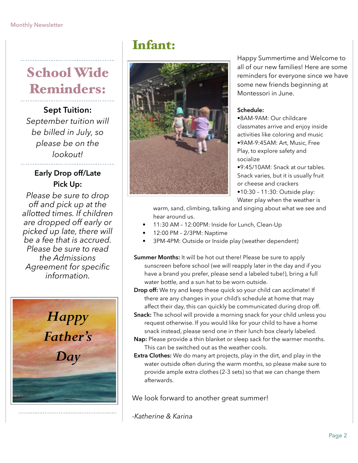# School Wide Reminders:

**Sept Tuition:**  *September tuition will be billed in July, so please be on the lookout!*

#### **Early Drop off/Late Pick Up:**

*Please be sure to drop off and pick up at the allotted times. If children are dropped off early or picked up late, there will be a fee that is accrued. Please be sure to read the Admissions Agreement for specific information.* 

# *Happy Father's Day*

## Infant:



Happy Summertime and Welcome to all of our new families! Here are some reminders for everyone since we have some new friends beginning at Montessori in June.

#### **Schedule:**

•8AM-9AM: Our childcare classmates arrive and enjoy inside activities like coloring and music •9AM-9:45AM: Art, Music, Free Play, to explore safety and socialize •9:45/10AM: Snack at our tables. Snack varies, but it is usually fruit or cheese and crackers •10:30 – 11:30: Outside play: Water play when the weather is

warm, sand, climbing, talking and singing about what we see and hear around us.

- 11:30 AM 12:00PM: Inside for Lunch, Clean-Up
- 12:00 PM 2/3PM: Naptime
- 3PM-4PM: Outside or Inside play (weather dependent)
- **Summer Months:** It will be hot out there! Please be sure to apply sunscreen before school (we will reapply later in the day and if you have a brand you prefer, please send a labeled tube!), bring a full water bottle, and a sun hat to be worn outside.
- **Drop off:** We try and keep these quick so your child can acclimate! If there are any changes in your child's schedule at home that may affect their day, this can quickly be communicated during drop off.
- **Snack:** The school will provide a morning snack for your child unless you request otherwise. If you would like for your child to have a home snack instead, please send one in their lunch box clearly labeled.
- **Nap:** Please provide a thin blanket or sleep sack for the warmer months. This can be switched out as the weather cools.
- **Extra Clothes:** We do many art projects, play in the dirt, and play in the water outside often during the warm months, so please make sure to provide ample extra clothes (2-3 sets) so that we can change them afterwards.

We look forward to another great summer!

*-Katherine & Karina*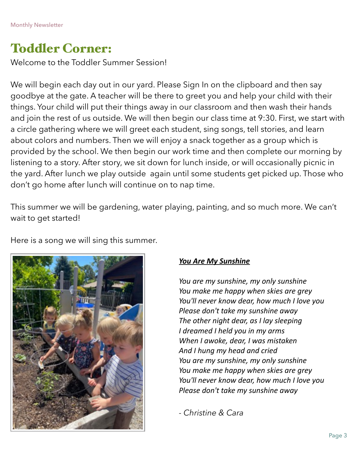#### Toddler Corner:

Welcome to the Toddler Summer Session!

We will begin each day out in our yard. Please Sign In on the clipboard and then say goodbye at the gate. A teacher will be there to greet you and help your child with their things. Your child will put their things away in our classroom and then wash their hands and join the rest of us outside. We will then begin our class time at 9:30. First, we start with a circle gathering where we will greet each student, sing songs, tell stories, and learn about colors and numbers. Then we will enjoy a snack together as a group which is provided by the school. We then begin our work time and then complete our morning by listening to a story. After story, we sit down for lunch inside, or will occasionally picnic in the yard. After lunch we play outside again until some students get picked up. Those who don't go home after lunch will continue on to nap time.

This summer we will be gardening, water playing, painting, and so much more. We can't wait to get started!

Here is a song we will sing this summer.



#### **You Are My Sunshine**

*You are my sunshine, my only sunshine* You make me happy when skies are grey You'll never know dear, how much I love you *Please don't take my sunshine away The other night dear, as I lay sleeping <i>I* dreamed *I* held you in my arms *When I awoke, dear, I was mistaken* And I hung my head and cried *You are my sunshine, my only sunshine You make me happy when skies are grey* You'll never know dear, how much I love you *Please don't take my sunshine away* 

 *- Christine & Cara*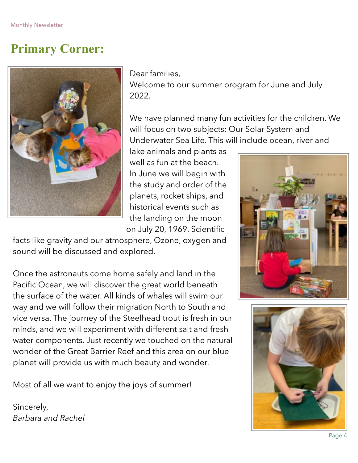## **Primary Corner:**



Dear families,

Welcome to our summer program for June and July 2022.

We have planned many fun activities for the children. We will focus on two subjects: Our Solar System and Underwater Sea Life. This will include ocean, river and

lake animals and plants as well as fun at the beach. In June we will begin with the study and order of the planets, rocket ships, and historical events such as the landing on the moon on July 20, 1969. Scientific

facts like gravity and our atmosphere, Ozone, oxygen and sound will be discussed and explored.

Once the astronauts come home safely and land in the Pacific Ocean, we will discover the great world beneath the surface of the water. All kinds of whales will swim our way and we will follow their migration North to South and vice versa. The journey of the Steelhead trout is fresh in our minds, and we will experiment with different salt and fresh water components. Just recently we touched on the natural wonder of the Great Barrier Reef and this area on our blue planet will provide us with much beauty and wonder.

Most of all we want to enjoy the joys of summer!

Sincerely, *Barbara and Rachel* 



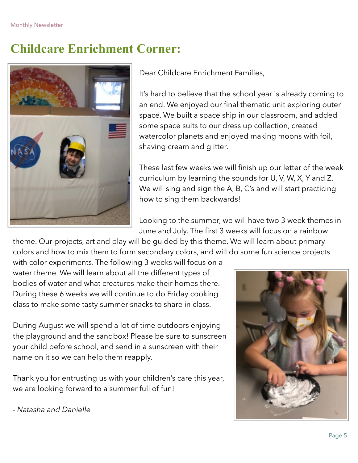## **Childcare Enrichment Corner:**



Dear Childcare Enrichment Families,

It's hard to believe that the school year is already coming to an end. We enjoyed our final thematic unit exploring outer space. We built a space ship in our classroom, and added some space suits to our dress up collection, created watercolor planets and enjoyed making moons with foil, shaving cream and glitter.

These last few weeks we will finish up our letter of the week curriculum by learning the sounds for U, V, W, X, Y and Z. We will sing and sign the A, B, C's and will start practicing how to sing them backwards!

Looking to the summer, we will have two 3 week themes in June and July. The first 3 weeks will focus on a rainbow

theme. Our projects, art and play will be guided by this theme. We will learn about primary colors and how to mix them to form secondary colors, and will do some fun science projects

with color experiments. The following 3 weeks will focus on a water theme. We will learn about all the different types of bodies of water and what creatures make their homes there. During these 6 weeks we will continue to do Friday cooking class to make some tasty summer snacks to share in class.

During August we will spend a lot of time outdoors enjoying the playground and the sandbox! Please be sure to sunscreen your child before school, and send in a sunscreen with their name on it so we can help them reapply.

Thank you for entrusting us with your children's care this year, we are looking forward to a summer full of fun!



*- Natasha and Danielle*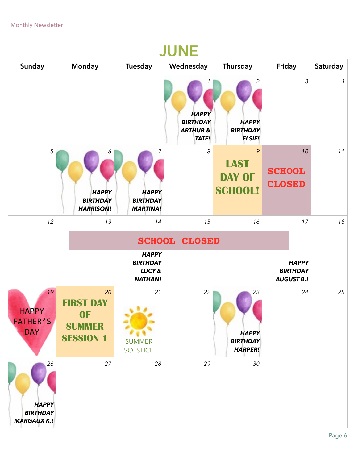## **JUNE**

| Sunday                                                      | Monday                                                                   | Tuesday                                                    | Wednesday                                                                   | Thursday                                                           | Friday                                               | Saturday       |
|-------------------------------------------------------------|--------------------------------------------------------------------------|------------------------------------------------------------|-----------------------------------------------------------------------------|--------------------------------------------------------------------|------------------------------------------------------|----------------|
|                                                             |                                                                          |                                                            | 1<br><b>HAPPY</b><br><b>BIRTHDAY</b><br><b>ARTHUR &amp;</b><br><b>TATE!</b> | $\overline{c}$<br><b>HAPPY</b><br><b>BIRTHDAY</b><br><b>ELSIE!</b> | 3                                                    | $\overline{4}$ |
| $\overline{5}$                                              | 6<br><b>HAPPY</b><br><b>BIRTHDAY</b><br><b>HARRISON!</b>                 | 7<br><b>HAPPY</b><br><b>BIRTHDAY</b><br><b>MARTINA!</b>    | $\boldsymbol{\mathcal{S}}$                                                  | 9<br><b>LAST</b><br><b>DAY OF</b><br><b>SCHOOL!</b>                | 10<br><b>SCHOOL</b><br><b>CLOSED</b>                 | 11             |
| 12                                                          | 13                                                                       | 14                                                         | 15<br><b>SCHOOL CLOSED</b>                                                  | 16                                                                 | 17                                                   | 18             |
|                                                             |                                                                          | <b>HAPPY</b><br><b>BIRTHDAY</b><br>LUCY&<br><b>NATHAN!</b> |                                                                             |                                                                    | <b>HAPPY</b><br><b>BIRTHDAY</b><br><b>AUGUST B.!</b> |                |
| 19<br><b>HAPPY</b><br>FATHER'S<br><b>DAY</b>                | 20<br><b>FIRST DAY</b><br><b>OF</b><br><b>SUMMER</b><br><b>SESSION 1</b> | 21<br><b>SUMMER</b><br><b>SOLSTICE</b>                     | 22                                                                          | 23<br><b>HAPPY</b><br><b>BIRTHDAY</b><br><b>HARPER!</b>            | 24                                                   | 25             |
| 26<br><b>HAPPY</b><br><b>BIRTHDAY</b><br><b>MARGAUX K.!</b> | 27                                                                       | 28                                                         | 29                                                                          | 30                                                                 |                                                      |                |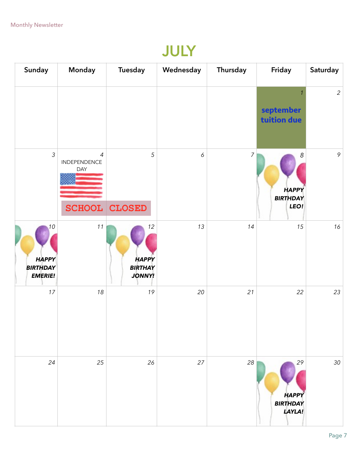# **JULY**

| Sunday                                                  | Monday                                       | Tuesday                                               | Wednesday             | Thursday         | Friday                                                                | Saturday       |
|---------------------------------------------------------|----------------------------------------------|-------------------------------------------------------|-----------------------|------------------|-----------------------------------------------------------------------|----------------|
|                                                         |                                              |                                                       |                       |                  | $\overline{1}$<br>september<br>tuition due                            | $\overline{2}$ |
| $\mathfrak{Z}$                                          | $\overline{4}$<br><b>INDEPENDENCE</b><br>DAY | $\sqrt{5}$<br>SCHOOL CLOSED                           | $\boldsymbol{\delta}$ | $\boldsymbol{7}$ | $\boldsymbol{\mathcal{S}}$<br><b>HAPPY</b><br><b>BIRTHDAY</b><br>LEO! | $\circ$        |
| 10<br><b>HAPPY</b><br><b>BIRTHDAY</b><br><b>EMERIE!</b> | $11$                                         | 12<br><b>HAPPY</b><br><b>BIRTHAY</b><br><b>JONNY!</b> | 13                    | 14               | 15                                                                    | 16             |
| $17\,$                                                  | $18\,$                                       | 19                                                    | 20                    | 21               | 22                                                                    | 23             |
| 24                                                      | 25                                           | 26                                                    | 27                    | 28               | 29<br><b>HAPPY</b><br><b>BIRTHDAY</b><br>LAYLA!                       | $30\,$         |